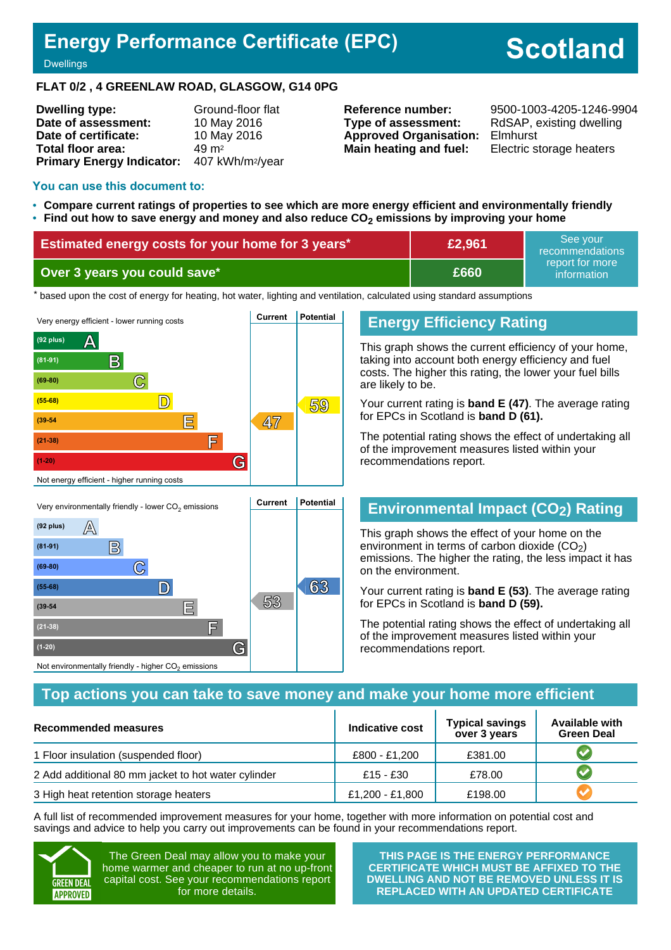## **Energy Performance Certificate (EPC)**

# **Scotland**

**Dwellings** 

#### **FLAT 0/2 , 4 GREENLAW ROAD, GLASGOW, G14 0PG**

| <b>Dwelling type:</b>                                  | Ground-floor flat |
|--------------------------------------------------------|-------------------|
| Date of assessment:                                    | 10 May 2016       |
| Date of certificate:                                   | 10 May 2016       |
| <b>Total floor area:</b>                               | 49 m <sup>2</sup> |
| Primary Energy Indicator: 407 kWh/m <sup>2</sup> /year |                   |

**Type of assessment:** RdSAP, existing dwelling **Approved Organisation:** Elmhurst **Main heating and fuel:** Electric storage heaters

**Reference number:** 9500-1003-4205-1246-9904

#### **You can use this document to:**

- **Compare current ratings of properties to see which are more energy efficient and environmentally friendly**
- **Find out how to save energy and money and also reduce CO2 emissions by improving your home**

| Estimated energy costs for your home for 3 years* | £2,961 | See vour<br>recommendations    |
|---------------------------------------------------|--------|--------------------------------|
| Over 3 years you could save*                      | £660   | report for more<br>information |

the based upon the cost of energy for heating, hot water, lighting and ventilation, calculated using standard assumptions



Not environmentally friendly - higher  $\mathrm{CO}_2$  emissions

## **Energy Efficiency Rating**

This graph shows the current efficiency of your home, taking into account both energy efficiency and fuel costs. The higher this rating, the lower your fuel bills are likely to be.

Your current rating is **band E (47)**. The average rating for EPCs in Scotland is **band D (61).**

The potential rating shows the effect of undertaking all of the improvement measures listed within your recommendations report.

## **Environmental Impact (CO2) Rating**

This graph shows the effect of your home on the environment in terms of carbon dioxide  $(CO<sub>2</sub>)$ emissions. The higher the rating, the less impact it has on the environment.

Your current rating is **band E (53)**. The average rating for EPCs in Scotland is **band D (59).**

The potential rating shows the effect of undertaking all of the improvement measures listed within your recommendations report.

#### **Top actions you can take to save money and make your home more efficient**

| Recommended measures                                | Indicative cost | <b>Typical savings</b><br>over 3 years | <b>Available with</b><br><b>Green Deal</b> |
|-----------------------------------------------------|-----------------|----------------------------------------|--------------------------------------------|
| 1 Floor insulation (suspended floor)                | £800 - £1,200   | £381.00                                |                                            |
| 2 Add additional 80 mm jacket to hot water cylinder | £15 - £30       | £78.00                                 |                                            |
| 3 High heat retention storage heaters               | £1,200 - £1,800 | £198.00                                |                                            |

A full list of recommended improvement measures for your home, together with more information on potential cost and savings and advice to help you carry out improvements can be found in your recommendations report.



The Green Deal may allow you to make your home warmer and cheaper to run at no up-front capital cost. See your recommendations report for more details.

**THIS PAGE IS THE ENERGY PERFORMANCE CERTIFICATE WHICH MUST BE AFFIXED TO THE DWELLING AND NOT BE REMOVED UNLESS IT IS REPLACED WITH AN UPDATED CERTIFICATE**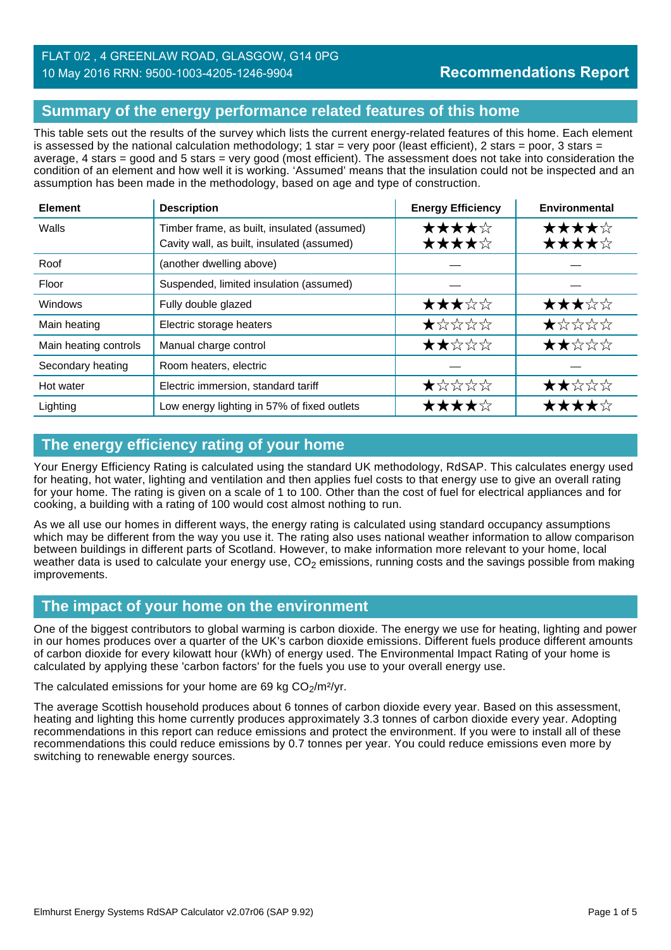## **Summary of the energy performance related features of this home**

This table sets out the results of the survey which lists the current energy-related features of this home. Each element is assessed by the national calculation methodology; 1 star = very poor (least efficient), 2 stars = poor, 3 stars = average, 4 stars = good and 5 stars = very good (most efficient). The assessment does not take into consideration the condition of an element and how well it is working. 'Assumed' means that the insulation could not be inspected and an assumption has been made in the methodology, based on age and type of construction.

| <b>Element</b>        | <b>Description</b>                                                                        | <b>Energy Efficiency</b> | Environmental  |
|-----------------------|-------------------------------------------------------------------------------------------|--------------------------|----------------|
| Walls                 | Timber frame, as built, insulated (assumed)<br>Cavity wall, as built, insulated (assumed) | ★★★★☆<br>★★★★☆           | ★★★★☆<br>★★★★☆ |
| Roof                  | (another dwelling above)                                                                  |                          |                |
| Floor                 | Suspended, limited insulation (assumed)                                                   |                          |                |
| Windows               | Fully double glazed                                                                       | ★★★☆☆                    | ★★★☆☆          |
| Main heating          | Electric storage heaters                                                                  | $\bigstar x x x x$       | *****          |
| Main heating controls | Manual charge control                                                                     | ★★☆☆☆                    | ★★☆☆☆          |
| Secondary heating     | Room heaters, electric                                                                    |                          |                |
| Hot water             | Electric immersion, standard tariff                                                       | ★☆☆☆☆                    | ★★☆☆☆          |
| Lighting              | Low energy lighting in 57% of fixed outlets                                               | ★★★★☆                    | ★★★★☆          |

## **The energy efficiency rating of your home**

Your Energy Efficiency Rating is calculated using the standard UK methodology, RdSAP. This calculates energy used for heating, hot water, lighting and ventilation and then applies fuel costs to that energy use to give an overall rating for your home. The rating is given on a scale of 1 to 100. Other than the cost of fuel for electrical appliances and for cooking, a building with a rating of 100 would cost almost nothing to run.

As we all use our homes in different ways, the energy rating is calculated using standard occupancy assumptions which may be different from the way you use it. The rating also uses national weather information to allow comparison between buildings in different parts of Scotland. However, to make information more relevant to your home, local weather data is used to calculate your energy use,  $CO<sub>2</sub>$  emissions, running costs and the savings possible from making improvements.

## **The impact of your home on the environment**

One of the biggest contributors to global warming is carbon dioxide. The energy we use for heating, lighting and power in our homes produces over a quarter of the UK's carbon dioxide emissions. Different fuels produce different amounts of carbon dioxide for every kilowatt hour (kWh) of energy used. The Environmental Impact Rating of your home is calculated by applying these 'carbon factors' for the fuels you use to your overall energy use.

The calculated emissions for your home are 69 kg  $CO<sub>2</sub>/m<sup>2</sup>/yr$ .

The average Scottish household produces about 6 tonnes of carbon dioxide every year. Based on this assessment, heating and lighting this home currently produces approximately 3.3 tonnes of carbon dioxide every year. Adopting recommendations in this report can reduce emissions and protect the environment. If you were to install all of these recommendations this could reduce emissions by 0.7 tonnes per year. You could reduce emissions even more by switching to renewable energy sources.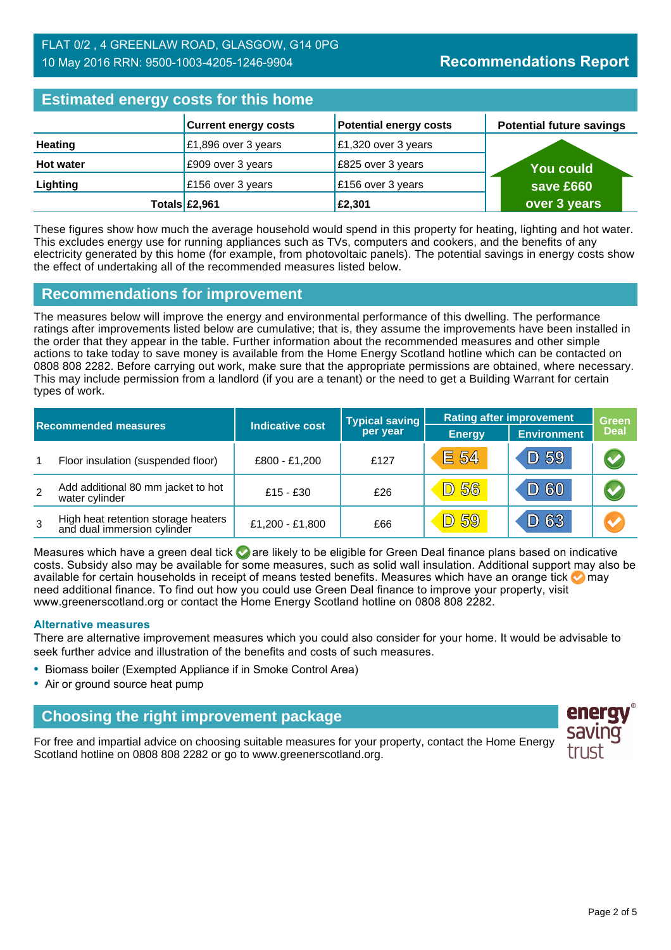#### FLAT 0/2 , 4 GREENLAW ROAD, GLASGOW, G14 0PG 10 May 2016 RRN: 9500-1003-4205-1246-9904

| <b>Estimated energy costs for this home</b> |                             |                               |                                 |  |
|---------------------------------------------|-----------------------------|-------------------------------|---------------------------------|--|
|                                             | <b>Current energy costs</b> | <b>Potential energy costs</b> | <b>Potential future savings</b> |  |
| <b>Heating</b>                              | £1,896 over 3 years         | £1,320 over 3 years           |                                 |  |
| <b>Hot water</b>                            | £909 over 3 years           | E825 over 3 years             | <b>You could</b>                |  |
| Lighting                                    | £156 over 3 years           | £156 over 3 years             | save £660                       |  |
|                                             | Totals £2,961               | £2,301                        | over 3 years                    |  |

These figures show how much the average household would spend in this property for heating, lighting and hot water. This excludes energy use for running appliances such as TVs, computers and cookers, and the benefits of any electricity generated by this home (for example, from photovoltaic panels). The potential savings in energy costs show the effect of undertaking all of the recommended measures listed below.

#### **Recommendations for improvement**

The measures below will improve the energy and environmental performance of this dwelling. The performance ratings after improvements listed below are cumulative; that is, they assume the improvements have been installed in the order that they appear in the table. Further information about the recommended measures and other simple actions to take today to save money is available from the Home Energy Scotland hotline which can be contacted on 0808 808 2282. Before carrying out work, make sure that the appropriate permissions are obtained, where necessary. This may include permission from a landlord (if you are a tenant) or the need to get a Building Warrant for certain types of work.

|                |                                                                    |                 | <b>Typical saving</b> | <b>Rating after improvement</b> |                    | <b>Green</b>          |
|----------------|--------------------------------------------------------------------|-----------------|-----------------------|---------------------------------|--------------------|-----------------------|
|                | <b>Indicative cost</b><br><b>Recommended measures</b>              |                 | per year              | <b>Energy</b>                   | <b>Environment</b> | <b>Deal</b>           |
| $\overline{1}$ | Floor insulation (suspended floor)                                 | £800 - £1,200   | £127                  | <b>E 54</b>                     | D 59               | $\blacktriangleright$ |
| 2              | Add additional 80 mm jacket to hot<br>water cylinder               | $£15 - £30$     | £26                   | <b>D 56</b>                     | D 60               | $\blacktriangledown$  |
| 3              | High heat retention storage heaters<br>and dual immersion cylinder | £1,200 - £1,800 | £66                   | <b>D</b> 59                     | D 63               | $\blacktriangleright$ |

Measures which have a green deal tick  $\bullet$  are likely to be eligible for Green Deal finance plans based on indicative costs. Subsidy also may be available for some measures, such as solid wall insulation. Additional support may also be available for certain households in receipt of means tested benefits. Measures which have an orange tick **on** may need additional finance. To find out how you could use Green Deal finance to improve your property, visit www.greenerscotland.org or contact the Home Energy Scotland hotline on 0808 808 2282.

#### **Alternative measures**

There are alternative improvement measures which you could also consider for your home. It would be advisable to seek further advice and illustration of the benefits and costs of such measures.

- Biomass boiler (Exempted Appliance if in Smoke Control Area)
- Air or ground source heat pump

## **Choosing the right improvement package**

For free and impartial advice on choosing suitable measures for your property, contact the Home Energy Scotland hotline on 0808 808 2282 or go to www.greenerscotland.org.

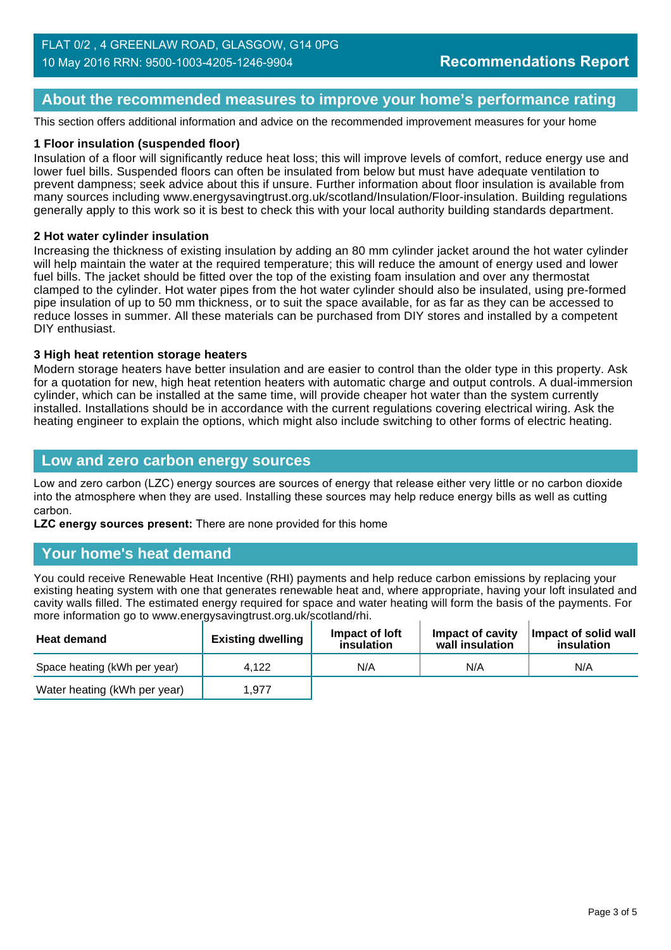## **About the recommended measures to improve your home's performance rating**

This section offers additional information and advice on the recommended improvement measures for your home

#### **1 Floor insulation (suspended floor)**

Insulation of a floor will significantly reduce heat loss; this will improve levels of comfort, reduce energy use and lower fuel bills. Suspended floors can often be insulated from below but must have adequate ventilation to prevent dampness; seek advice about this if unsure. Further information about floor insulation is available from many sources including www.energysavingtrust.org.uk/scotland/Insulation/Floor-insulation. Building regulations generally apply to this work so it is best to check this with your local authority building standards department.

#### **2 Hot water cylinder insulation**

Increasing the thickness of existing insulation by adding an 80 mm cylinder jacket around the hot water cylinder will help maintain the water at the required temperature; this will reduce the amount of energy used and lower fuel bills. The jacket should be fitted over the top of the existing foam insulation and over any thermostat clamped to the cylinder. Hot water pipes from the hot water cylinder should also be insulated, using pre-formed pipe insulation of up to 50 mm thickness, or to suit the space available, for as far as they can be accessed to reduce losses in summer. All these materials can be purchased from DIY stores and installed by a competent DIY enthusiast.

#### **3 High heat retention storage heaters**

Modern storage heaters have better insulation and are easier to control than the older type in this property. Ask for a quotation for new, high heat retention heaters with automatic charge and output controls. A dual-immersion cylinder, which can be installed at the same time, will provide cheaper hot water than the system currently installed. Installations should be in accordance with the current regulations covering electrical wiring. Ask the heating engineer to explain the options, which might also include switching to other forms of electric heating.

#### **Low and zero carbon energy sources**

Low and zero carbon (LZC) energy sources are sources of energy that release either very little or no carbon dioxide into the atmosphere when they are used. Installing these sources may help reduce energy bills as well as cutting carbon.

**LZC energy sources present:** There are none provided for this home

#### **Your home's heat demand**

You could receive Renewable Heat Incentive (RHI) payments and help reduce carbon emissions by replacing your existing heating system with one that generates renewable heat and, where appropriate, having your loft insulated and cavity walls filled. The estimated energy required for space and water heating will form the basis of the payments. For more information go to www.energysavingtrust.org.uk/scotland/rhi.

| <b>Heat demand</b>           | <b>Existing dwelling</b> | Impact of loft<br>insulation | Impact of cavity<br>wall insulation | Impact of solid wall<br>insulation |
|------------------------------|--------------------------|------------------------------|-------------------------------------|------------------------------------|
| Space heating (kWh per year) | 4.122                    | N/A                          | N/A                                 | N/A                                |
| Water heating (kWh per year) | 1.977                    |                              |                                     |                                    |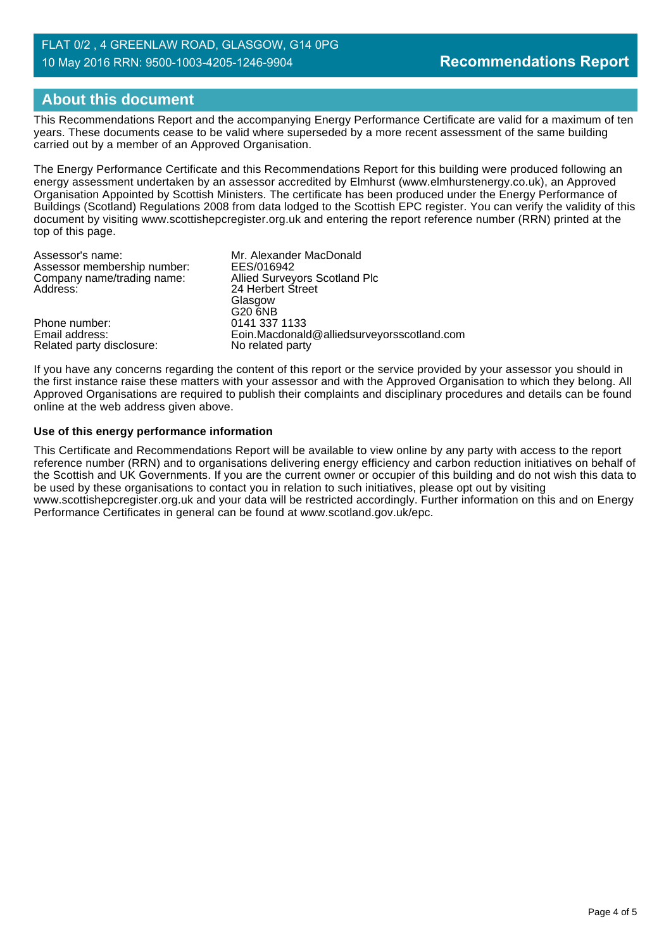#### FLAT 0/2 , 4 GREENLAW ROAD, GLASGOW, G14 0PG 10 May 2016 RRN: 9500-1003-4205-1246-9904

## **About this document**

This Recommendations Report and the accompanying Energy Performance Certificate are valid for a maximum of ten years. These documents cease to be valid where superseded by a more recent assessment of the same building carried out by a member of an Approved Organisation.

The Energy Performance Certificate and this Recommendations Report for this building were produced following an energy assessment undertaken by an assessor accredited by Elmhurst (www.elmhurstenergy.co.uk), an Approved Organisation Appointed by Scottish Ministers. The certificate has been produced under the Energy Performance of Buildings (Scotland) Regulations 2008 from data lodged to the Scottish EPC register. You can verify the validity of this document by visiting www.scottishepcregister.org.uk and entering the report reference number (RRN) printed at the top of this page.

| Assessor's name:            | Mr. Alexander MacDonald                    |
|-----------------------------|--------------------------------------------|
| Assessor membership number: | EES/016942                                 |
| Company name/trading name:  | Allied Surveyors Scotland Plc              |
| Address:                    | 24 Herbert Street                          |
|                             | Glasgow                                    |
|                             | G20 6NB                                    |
| Phone number:               | 0141 337 1133                              |
| Email address:              | Eoin.Macdonald@alliedsurveyorsscotland.com |
| Related party disclosure:   | No related party                           |

If you have any concerns regarding the content of this report or the service provided by your assessor you should in the first instance raise these matters with your assessor and with the Approved Organisation to which they belong. All Approved Organisations are required to publish their complaints and disciplinary procedures and details can be found online at the web address given above.

#### **Use of this energy performance information**

This Certificate and Recommendations Report will be available to view online by any party with access to the report reference number (RRN) and to organisations delivering energy efficiency and carbon reduction initiatives on behalf of the Scottish and UK Governments. If you are the current owner or occupier of this building and do not wish this data to be used by these organisations to contact you in relation to such initiatives, please opt out by visiting www.scottishepcregister.org.uk and your data will be restricted accordingly. Further information on this and on Energy Performance Certificates in general can be found at www.scotland.gov.uk/epc.